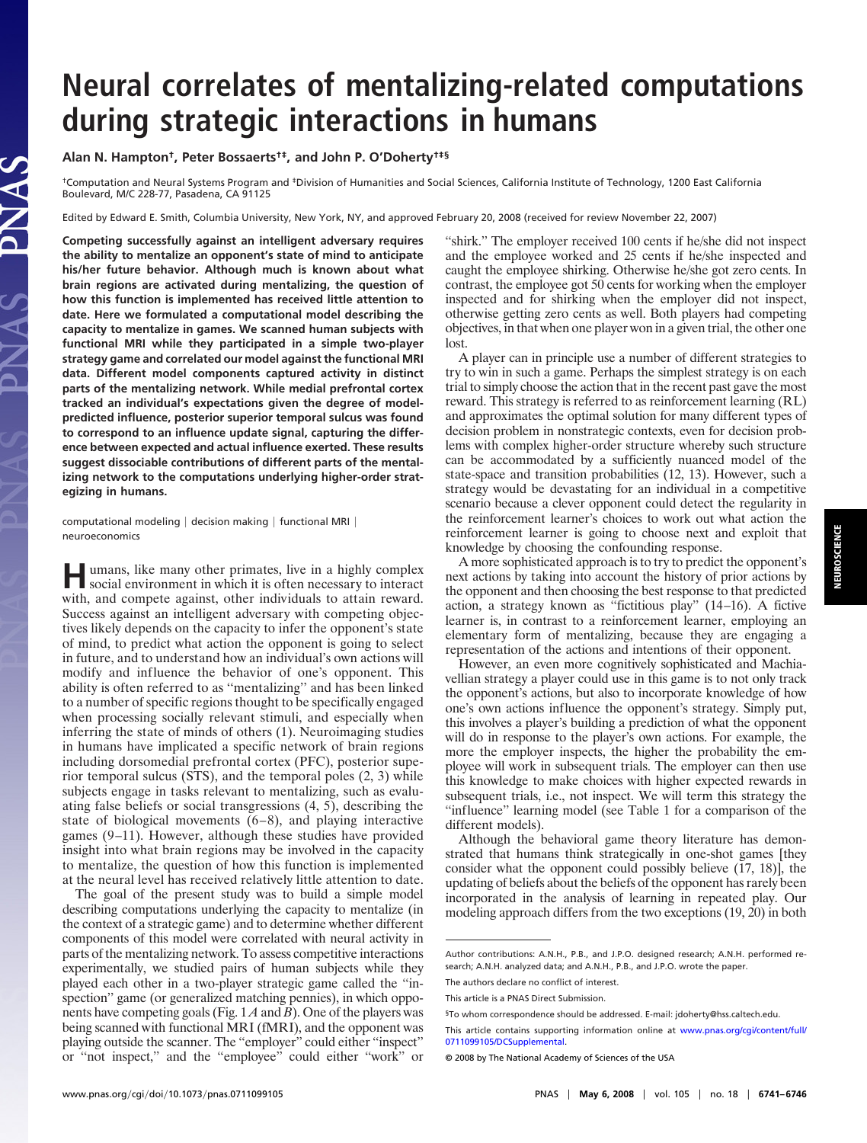# **Neural correlates of mentalizing-related computations during strategic interactions in humans**

## **Alan N. Hampton†, Peter Bossaerts†‡, and John P. O'Doherty†‡§**

†Computation and Neural Systems Program and ‡Division of Humanities and Social Sciences, California Institute of Technology, 1200 East California Boulevard, M/C 228-77, Pasadena, CA 91125

Edited by Edward E. Smith, Columbia University, New York, NY, and approved February 20, 2008 (received for review November 22, 2007)

**Competing successfully against an intelligent adversary requires the ability to mentalize an opponent's state of mind to anticipate his/her future behavior. Although much is known about what brain regions are activated during mentalizing, the question of how this function is implemented has received little attention to date. Here we formulated a computational model describing the capacity to mentalize in games. We scanned human subjects with functional MRI while they participated in a simple two-player strategy game and correlated our model against the functional MRI data. Different model components captured activity in distinct parts of the mentalizing network. While medial prefrontal cortex tracked an individual's expectations given the degree of modelpredicted influence, posterior superior temporal sulcus was found to correspond to an influence update signal, capturing the difference between expected and actual influence exerted. These results suggest dissociable contributions of different parts of the mentalizing network to the computations underlying higher-order strategizing in humans.**

computational modeling  $|$  decision making  $|$  functional MRI  $|$ neuroeconomics

**Humans**, like many other primates, live in a highly complex social environment in which is a set of the social environment in which is a set of the set of the set of the set of the set of the set of the set of the set of social environment in which it is often necessary to interact with, and compete against, other individuals to attain reward. Success against an intelligent adversary with competing objectives likely depends on the capacity to infer the opponent's state of mind, to predict what action the opponent is going to select in future, and to understand how an individual's own actions will modify and influence the behavior of one's opponent. This ability is often referred to as ''mentalizing'' and has been linked to a number of specific regions thought to be specifically engaged when processing socially relevant stimuli, and especially when inferring the state of minds of others (1). Neuroimaging studies in humans have implicated a specific network of brain regions including dorsomedial prefrontal cortex (PFC), posterior superior temporal sulcus (STS), and the temporal poles (2, 3) while subjects engage in tasks relevant to mentalizing, such as evaluating false beliefs or social transgressions (4, 5), describing the state of biological movements (6–8), and playing interactive games (9–11). However, although these studies have provided insight into what brain regions may be involved in the capacity to mentalize, the question of how this function is implemented at the neural level has received relatively little attention to date.

The goal of the present study was to build a simple model describing computations underlying the capacity to mentalize (in the context of a strategic game) and to determine whether different components of this model were correlated with neural activity in parts of the mentalizing network. To assess competitive interactions experimentally, we studied pairs of human subjects while they played each other in a two-player strategic game called the ''inspection'' game (or generalized matching pennies), in which opponents have competing goals (Fig. 1 *A* and *B*). One of the players was being scanned with functional MRI (fMRI), and the opponent was playing outside the scanner. The "employer" could either "inspect" or ''not inspect,'' and the ''employee'' could either ''work'' or

"shirk." The employer received 100 cents if he/she did not inspect and the employee worked and 25 cents if he/she inspected and caught the employee shirking. Otherwise he/she got zero cents. In contrast, the employee got 50 cents for working when the employer inspected and for shirking when the employer did not inspect, otherwise getting zero cents as well. Both players had competing objectives, in that when one player won in a given trial, the other one lost.

A player can in principle use a number of different strategies to try to win in such a game. Perhaps the simplest strategy is on each trial to simply choose the action that in the recent past gave the most reward. This strategy is referred to as reinforcement learning (RL) and approximates the optimal solution for many different types of decision problem in nonstrategic contexts, even for decision problems with complex higher-order structure whereby such structure can be accommodated by a sufficiently nuanced model of the state-space and transition probabilities (12, 13). However, such a strategy would be devastating for an individual in a competitive scenario because a clever opponent could detect the regularity in the reinforcement learner's choices to work out what action the reinforcement learner is going to choose next and exploit that knowledge by choosing the confounding response.

A more sophisticated approach is to try to predict the opponent's next actions by taking into account the history of prior actions by the opponent and then choosing the best response to that predicted action, a strategy known as ''fictitious play'' (14–16). A fictive learner is, in contrast to a reinforcement learner, employing an elementary form of mentalizing, because they are engaging a representation of the actions and intentions of their opponent.

However, an even more cognitively sophisticated and Machiavellian strategy a player could use in this game is to not only track the opponent's actions, but also to incorporate knowledge of how one's own actions influence the opponent's strategy. Simply put, this involves a player's building a prediction of what the opponent will do in response to the player's own actions. For example, the more the employer inspects, the higher the probability the employee will work in subsequent trials. The employer can then use this knowledge to make choices with higher expected rewards in subsequent trials, i.e., not inspect. We will term this strategy the ''influence'' learning model (see Table 1 for a comparison of the different models).

Although the behavioral game theory literature has demonstrated that humans think strategically in one-shot games [they consider what the opponent could possibly believe (17, 18)], the updating of beliefs about the beliefs of the opponent has rarely been incorporated in the analysis of learning in repeated play. Our modeling approach differs from the two exceptions (19, 20) in both

Author contributions: A.N.H., P.B., and J.P.O. designed research; A.N.H. performed research; A.N.H. analyzed data; and A.N.H., P.B., and J.P.O. wrote the paper.

The authors declare no conflict of interest.

This article is a PNAS Direct Submission.

<sup>§</sup>To whom correspondence should be addressed. E-mail: jdoherty@hss.caltech.edu.

This article contains supporting information online at [www.pnas.org/cgi/content/full/](http://www.pnas.org/cgi/content/full/0711099105/DCSupplemental) [0711099105/DCSupplemental.](http://www.pnas.org/cgi/content/full/0711099105/DCSupplemental)

<sup>© 2008</sup> by The National Academy of Sciences of the USA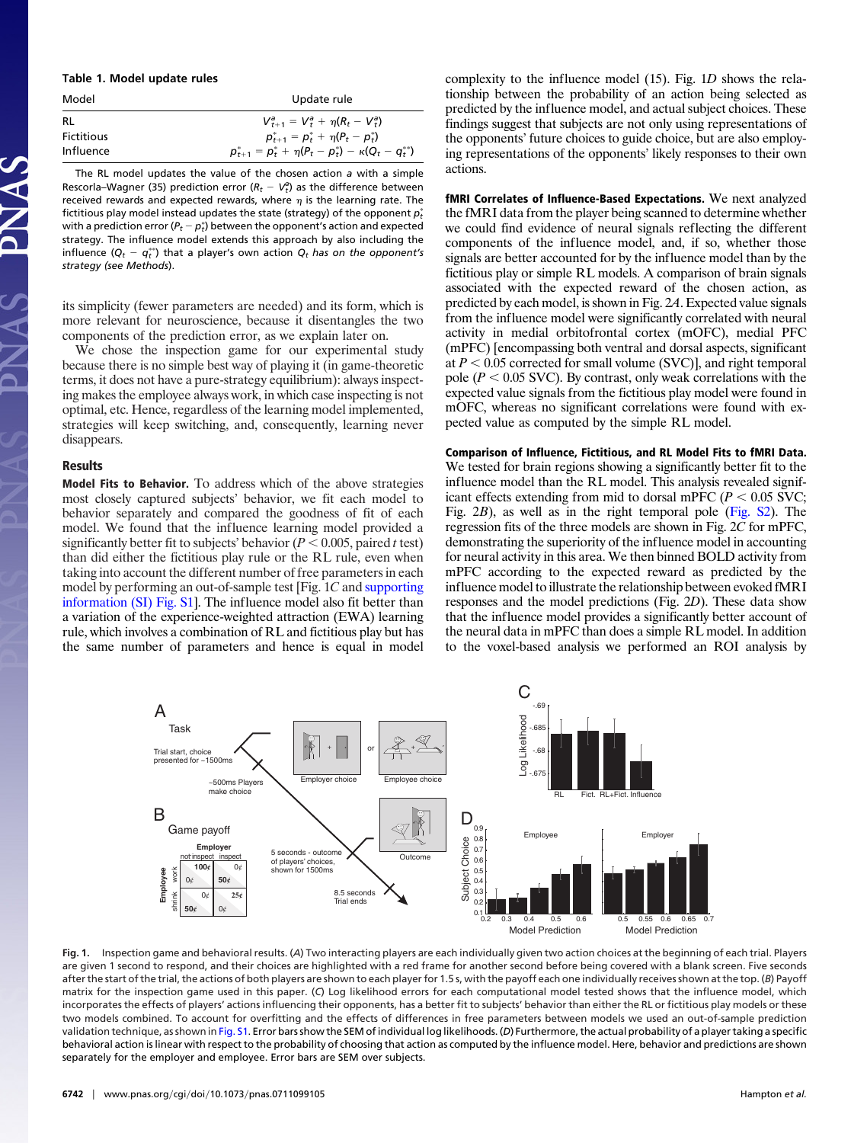### **Table 1. Model update rules**

| Model                   | Update rule                                                                          |
|-------------------------|--------------------------------------------------------------------------------------|
| RL<br><b>Fictitious</b> | $V_{t+1}^a = V_t^a + \eta (R_t - V_t^a)$<br>$p_{t+1}^* = p_t^* + \eta (P_t - p_t^*)$ |
| Influence               | $p_{t+1}^* = p_t^* + \eta (P_t - p_t^*) - \kappa (Q_t - q_t^*)$                      |
|                         |                                                                                      |

The RL model updates the value of the chosen action *a* with a simple Rescorla–Wagner (35) prediction error  $(R_t - V_t^a)$  as the difference between received rewards and expected rewards, where  $\eta$  is the learning rate. The fictitious play model instead updates the state (strategy) of the opponent  $p_{t}^{\ast}$ with a prediction error ( $P_t - p_t^*$ ) between the opponent's action and expec<mark>ted</mark> strategy. The influence model extends this approach by also including the influence  $(Q_t - q_t^{**})$  that a player's own action  $Q_t$  *has on the opponent's strategy (see Methods*).

its simplicity (fewer parameters are needed) and its form, which is more relevant for neuroscience, because it disentangles the two components of the prediction error, as we explain later on.

We chose the inspection game for our experimental study because there is no simple best way of playing it (in game-theoretic terms, it does not have a pure-strategy equilibrium): always inspecting makes the employee always work, in which case inspecting is not optimal, etc. Hence, regardless of the learning model implemented, strategies will keep switching, and, consequently, learning never disappears.

### **Results**

**Model Fits to Behavior.** To address which of the above strategies most closely captured subjects' behavior, we fit each model to behavior separately and compared the goodness of fit of each model. We found that the influence learning model provided a significantly better fit to subjects' behavior  $(P < 0.005$ , paired *t* test) than did either the fictitious play rule or the RL rule, even when taking into account the different number of free parameters in each model by performing an out-of-sample test [Fig. 1*C* and [supporting](http://www.pnas.org/cgi/data/0711099105/DCSupplemental/Supplemental_PDF#nameddest=SF1) [information \(SI\) Fig. S1\]](http://www.pnas.org/cgi/data/0711099105/DCSupplemental/Supplemental_PDF#nameddest=SF1). The influence model also fit better than a variation of the experience-weighted attraction (EWA) learning rule, which involves a combination of RL and fictitious play but has the same number of parameters and hence is equal in model

complexity to the influence model (15). Fig. 1*D* shows the relationship between the probability of an action being selected as predicted by the influence model, and actual subject choices. These findings suggest that subjects are not only using representations of the opponents' future choices to guide choice, but are also employing representations of the opponents' likely responses to their own actions.

**fMRI Correlates of Influence-Based Expectations.** We next analyzed the fMRI data from the player being scanned to determine whether we could find evidence of neural signals reflecting the different components of the influence model, and, if so, whether those signals are better accounted for by the influence model than by the fictitious play or simple RL models. A comparison of brain signals associated with the expected reward of the chosen action, as predicted by each model, is shown in Fig. 2*A*. Expected value signals from the influence model were significantly correlated with neural activity in medial orbitofrontal cortex (mOFC), medial PFC (mPFC) [encompassing both ventral and dorsal aspects, significant at  $P < 0.05$  corrected for small volume (SVC)], and right temporal pole  $(P < 0.05$  SVC). By contrast, only weak correlations with the expected value signals from the fictitious play model were found in mOFC, whereas no significant correlations were found with expected value as computed by the simple RL model.

**Comparison of Influence, Fictitious, and RL Model Fits to fMRI Data.** We tested for brain regions showing a significantly better fit to the influence model than the RL model. This analysis revealed significant effects extending from mid to dorsal mPFC  $(P < 0.05$  SVC; Fig. 2*B*), as well as in the right temporal pole [\(Fig. S2\)](http://www.pnas.org/cgi/data/0711099105/DCSupplemental/Supplemental_PDF#nameddest=SF2). The regression fits of the three models are shown in Fig. 2*C* for mPFC, demonstrating the superiority of the influence model in accounting for neural activity in this area. We then binned BOLD activity from mPFC according to the expected reward as predicted by the influence model to illustrate the relationship between evoked fMRI responses and the model predictions (Fig. 2*D*). These data show that the influence model provides a significantly better account of the neural data in mPFC than does a simple RL model. In addition to the voxel-based analysis we performed an ROI analysis by



**Fig. 1.** Inspection game and behavioral results. (*A*) Two interacting players are each individually given two action choices at the beginning of each trial. Players are given 1 second to respond, and their choices are highlighted with a red frame for another second before being covered with a blank screen. Five seconds after the start of the trial, the actions of both players are shown to each player for 1.5 s, with the payoff each one individually receives shown at the top. (*B*) Payoff matrix for the inspection game used in this paper. (*C*) Log likelihood errors for each computational model tested shows that the influence model, which incorporates the effects of players' actions influencing their opponents, has a better fit to subjects' behavior than either the RL or fictitious play models or these two models combined. To account for overfitting and the effects of differences in free parameters between models we used an out-of-sample prediction validation technique, as shown in [Fig. S1.](http://www.pnas.org/cgi/data/0711099105/DCSupplemental/Supplemental_PDF#nameddest=SF1) Error bars show the SEM of individual log likelihoods. (*D*) Furthermore, the actual probability of a player taking a specific behavioral action is linear with respect to the probability of choosing that action as computed by the influence model. Here, behavior and predictions are shown separately for the employer and employee. Error bars are SEM over subjects.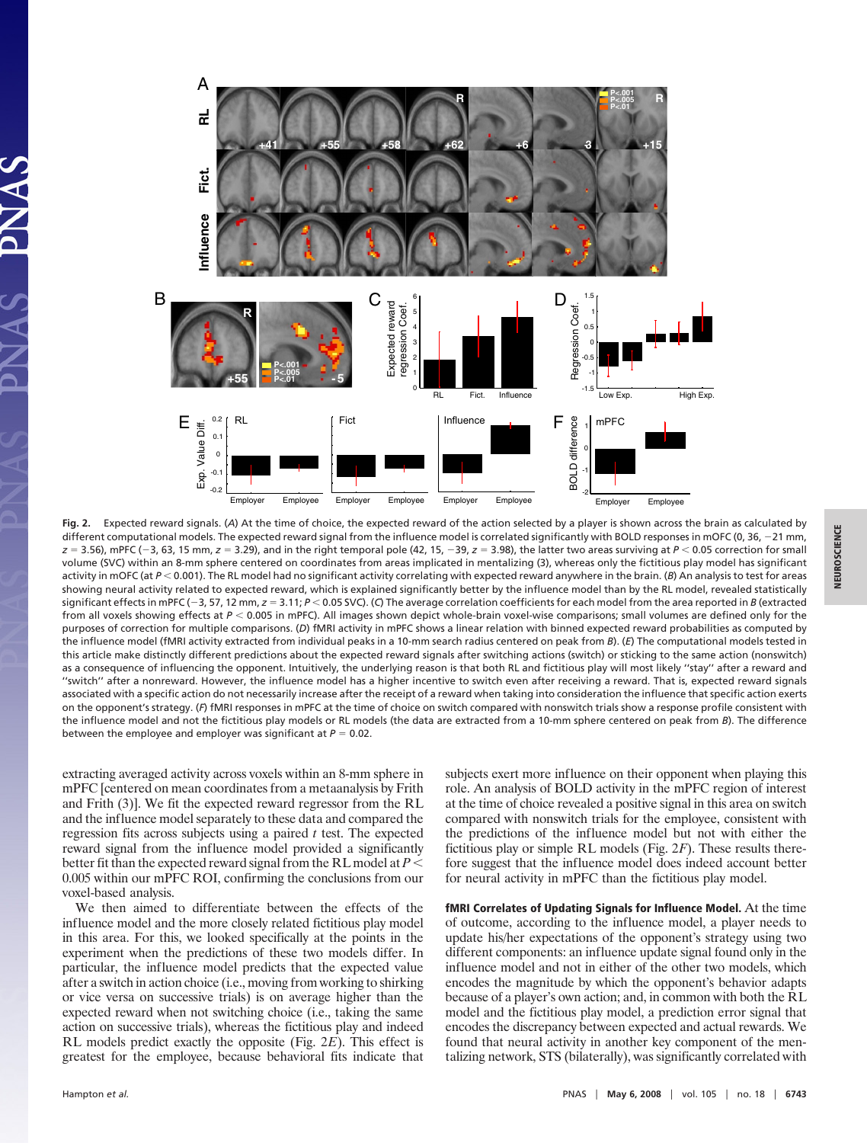

**Fig. 2.** Expected reward signals. (*A*) At the time of choice, the expected reward of the action selected by a player is shown across the brain as calculated by different computational models. The expected reward signal from the influence model is correlated significantly with BOLD responses in mOFC (0, 36, -21 mm,  $z = 3.56$ ), mPFC (-3, 63, 15 mm,  $z = 3.29$ ), and in the right temporal pole (42, 15, -39,  $z = 3.98$ ), the latter two areas surviving at  $P < 0.05$  correction for small volume (SVC) within an 8-mm sphere centered on coordinates from areas implicated in mentalizing (3), whereas only the fictitious play model has significant activity in mOFC (at  $P < 0.001$ ). The RL model had no significant activity correlating with expected reward anywhere in the brain. (B) An analysis to test for areas showing neural activity related to expected reward, which is explained significantly better by the influence model than by the RL model, revealed statistically significant effects in mPFC (-3, 57, 12 mm,  $z = 3.11$ ;  $P < 0.05$  SVC). (C) The average correlation coefficients for each model from the area reported in *B* (extracted from all voxels showing effects at  $P < 0.005$  in mPFC). All images shown depict whole-brain voxel-wise comparisons; small volumes are defined only for the purposes of correction for multiple comparisons. (*D*) fMRI activity in mPFC shows a linear relation with binned expected reward probabilities as computed by the influence model (fMRI activity extracted from individual peaks in a 10-mm search radius centered on peak from *B*). (*E*) The computational models tested in this article make distinctly different predictions about the expected reward signals after switching actions (switch) or sticking to the same action (nonswitch) as a consequence of influencing the opponent. Intuitively, the underlying reason is that both RL and fictitious play will most likely ''stay'' after a reward and ''switch'' after a nonreward. However, the influence model has a higher incentive to switch even after receiving a reward. That is, expected reward signals associated with a specific action do not necessarily increase after the receipt of a reward when taking into consideration the influence that specific action exerts on the opponent's strategy. (*F*) fMRI responses in mPFC at the time of choice on switch compared with nonswitch trials show a response profile consistent with the influence model and not the fictitious play models or RL models (the data are extracted from a 10-mm sphere centered on peak from *B*). The difference between the employee and employer was significant at  $P = 0.02$ .

extracting averaged activity across voxels within an 8-mm sphere in mPFC [centered on mean coordinates from a metaanalysis by Frith and Frith (3)]. We fit the expected reward regressor from the RL and the influence model separately to these data and compared the regression fits across subjects using a paired *t* test. The expected reward signal from the influence model provided a significantly better fit than the expected reward signal from the RL model at *P* 0.005 within our mPFC ROI, confirming the conclusions from our voxel-based analysis.

We then aimed to differentiate between the effects of the influence model and the more closely related fictitious play model in this area. For this, we looked specifically at the points in the experiment when the predictions of these two models differ. In particular, the influence model predicts that the expected value after a switch in action choice (i.e., moving from working to shirking or vice versa on successive trials) is on average higher than the expected reward when not switching choice (i.e., taking the same action on successive trials), whereas the fictitious play and indeed RL models predict exactly the opposite (Fig. 2*E*). This effect is greatest for the employee, because behavioral fits indicate that subjects exert more influence on their opponent when playing this role. An analysis of BOLD activity in the mPFC region of interest at the time of choice revealed a positive signal in this area on switch compared with nonswitch trials for the employee, consistent with the predictions of the influence model but not with either the fictitious play or simple RL models (Fig. 2*F*). These results therefore suggest that the influence model does indeed account better for neural activity in mPFC than the fictitious play model.

**fMRI Correlates of Updating Signals for Influence Model.** At the time of outcome, according to the influence model, a player needs to update his/her expectations of the opponent's strategy using two different components: an influence update signal found only in the influence model and not in either of the other two models, which encodes the magnitude by which the opponent's behavior adapts because of a player's own action; and, in common with both the RL model and the fictitious play model, a prediction error signal that encodes the discrepancy between expected and actual rewards. We found that neural activity in another key component of the mentalizing network, STS (bilaterally), was significantly correlated with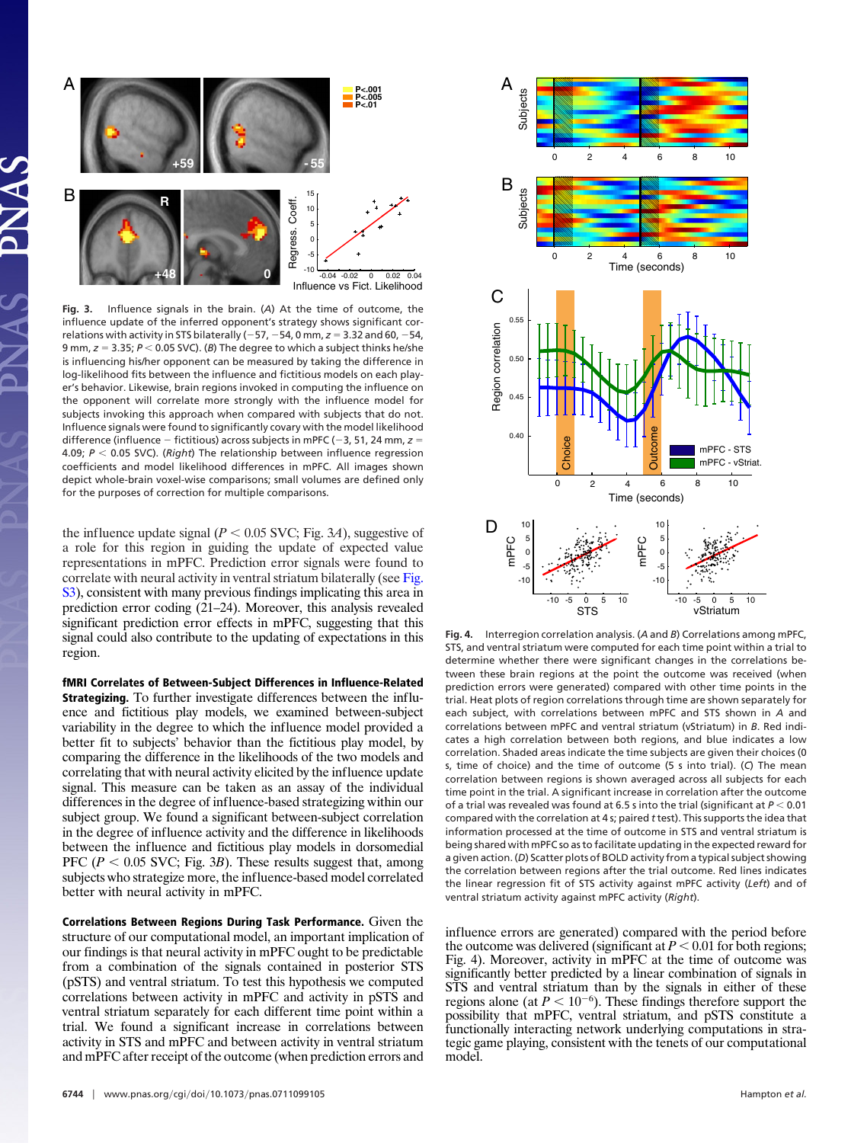

**Fig. 3.** Influence signals in the brain. (*A*) At the time of outcome, the influence update of the inferred opponent's strategy shows significant correlations with activity in STS bilaterally ( $-57$ ,  $-54$ , 0 mm,  $z = 3.32$  and 60,  $-54$ , 9 mm,  $z = 3.35$ ;  $P < 0.05$  SVC). (*B*) The degree to which a subject thinks he/she is influencing his/her opponent can be measured by taking the difference in log-likelihood fits between the influence and fictitious models on each player's behavior. Likewise, brain regions invoked in computing the influence on the opponent will correlate more strongly with the influence model for subjects invoking this approach when compared with subjects that do not. Influence signals were found to significantly covary with the model likelihood difference (influence - fictitious) across subjects in mPFC (-3, 51, 24 mm,  $z =$ 4.09;  $P < 0.05$  SVC). (*Right*) The relationship between influence regression coefficients and model likelihood differences in mPFC. All images shown depict whole-brain voxel-wise comparisons; small volumes are defined only for the purposes of correction for multiple comparisons.

the influence update signal ( $P < 0.05$  SVC; Fig. 3A), suggestive of a role for this region in guiding the update of expected value representations in mPFC. Prediction error signals were found to correlate with neural activity in ventral striatum bilaterally (see [Fig.](http://www.pnas.org/cgi/data/0711099105/DCSupplemental/Supplemental_PDF#nameddest=SF3) [S3\)](http://www.pnas.org/cgi/data/0711099105/DCSupplemental/Supplemental_PDF#nameddest=SF3), consistent with many previous findings implicating this area in prediction error coding (21–24). Moreover, this analysis revealed significant prediction error effects in mPFC, suggesting that this signal could also contribute to the updating of expectations in this region.

**fMRI Correlates of Between-Subject Differences in Influence-Related Strategizing.** To further investigate differences between the influence and fictitious play models, we examined between-subject variability in the degree to which the influence model provided a better fit to subjects' behavior than the fictitious play model, by comparing the difference in the likelihoods of the two models and correlating that with neural activity elicited by the influence update signal. This measure can be taken as an assay of the individual differences in the degree of influence-based strategizing within our subject group. We found a significant between-subject correlation in the degree of influence activity and the difference in likelihoods between the influence and fictitious play models in dorsomedial PFC ( $P < 0.05$  SVC; Fig. 3*B*). These results suggest that, among subjects who strategize more, the influence-based model correlated better with neural activity in mPFC.

**Correlations Between Regions During Task Performance.** Given the structure of our computational model, an important implication of our findings is that neural activity in mPFC ought to be predictable from a combination of the signals contained in posterior STS (pSTS) and ventral striatum. To test this hypothesis we computed correlations between activity in mPFC and activity in pSTS and ventral striatum separately for each different time point within a trial. We found a significant increase in correlations between activity in STS and mPFC and between activity in ventral striatum and mPFC after receipt of the outcome (when prediction errors and



**Fig. 4.** Interregion correlation analysis. (*A* and *B*) Correlations among mPFC, STS, and ventral striatum were computed for each time point within a trial to determine whether there were significant changes in the correlations between these brain regions at the point the outcome was received (when prediction errors were generated) compared with other time points in the trial. Heat plots of region correlations through time are shown separately for each subject, with correlations between mPFC and STS shown in *A* and correlations between mPFC and ventral striatum (vStriatum) in *B*. Red indicates a high correlation between both regions, and blue indicates a low correlation. Shaded areas indicate the time subjects are given their choices (0 s, time of choice) and the time of outcome (5 s into trial). (*C*) The mean correlation between regions is shown averaged across all subjects for each time point in the trial. A significant increase in correlation after the outcome of a trial was revealed was found at 6.5 s into the trial (significant at  $P < 0.01$ ) compared with the correlation at 4 s; paired *t*test). This supports the idea that information processed at the time of outcome in STS and ventral striatum is being shared with mPFC so as to facilitate updating in the expected reward for a given action. (*D*) Scatter plots of BOLD activity from a typical subject showing the correlation between regions after the trial outcome. Red lines indicates the linear regression fit of STS activity against mPFC activity (*Left*) and of ventral striatum activity against mPFC activity (*Right*).

influence errors are generated) compared with the period before the outcome was delivered (significant at  $P < 0.01$  for both regions; Fig. 4). Moreover, activity in mPFC at the time of outcome was significantly better predicted by a linear combination of signals in STS and ventral striatum than by the signals in either of these regions alone (at  $P < 10^{-6}$ ). These findings therefore support the possibility that mPFC, ventral striatum, and pSTS constitute a functionally interacting network underlying computations in strategic game playing, consistent with the tenets of our computational model.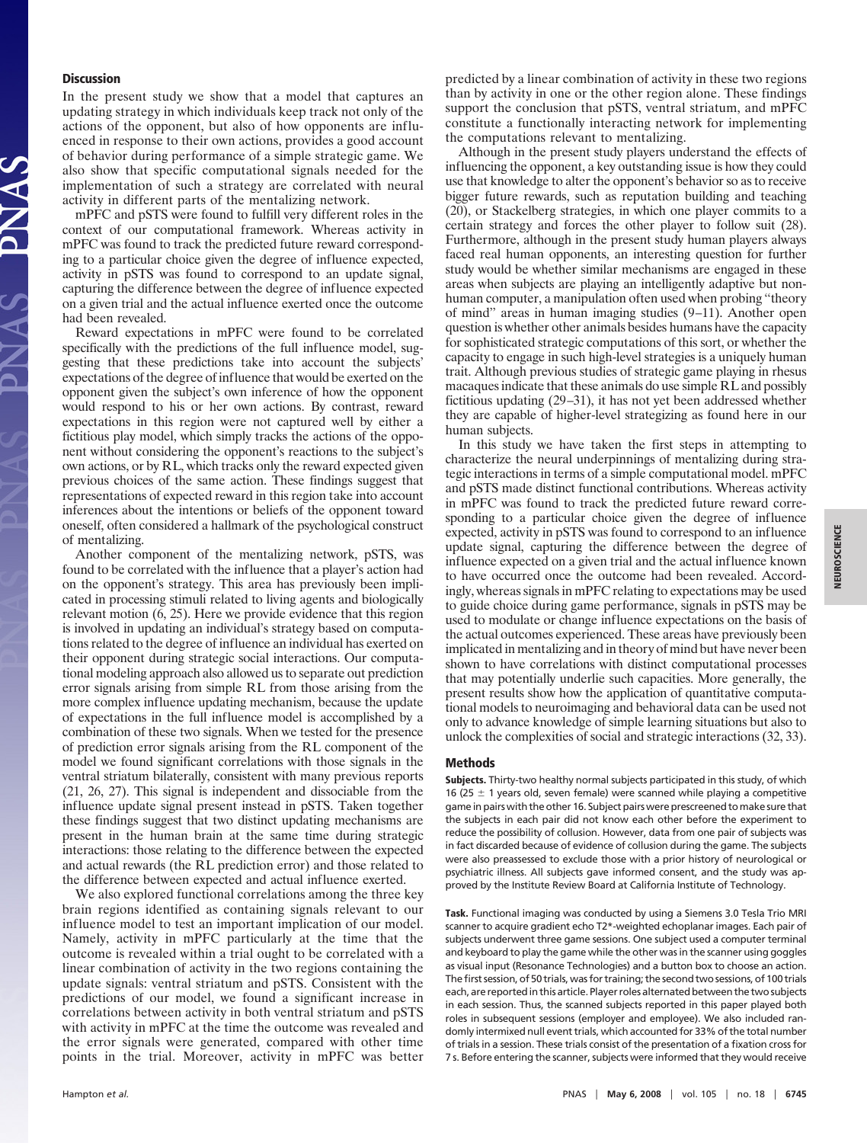### **Discussion**

In the present study we show that a model that captures an updating strategy in which individuals keep track not only of the actions of the opponent, but also of how opponents are influenced in response to their own actions, provides a good account of behavior during performance of a simple strategic game. We also show that specific computational signals needed for the implementation of such a strategy are correlated with neural activity in different parts of the mentalizing network.

mPFC and pSTS were found to fulfill very different roles in the context of our computational framework. Whereas activity in mPFC was found to track the predicted future reward corresponding to a particular choice given the degree of influence expected, activity in pSTS was found to correspond to an update signal, capturing the difference between the degree of influence expected on a given trial and the actual influence exerted once the outcome had been revealed.

Reward expectations in mPFC were found to be correlated specifically with the predictions of the full influence model, suggesting that these predictions take into account the subjects' expectations of the degree of influence that would be exerted on the opponent given the subject's own inference of how the opponent would respond to his or her own actions. By contrast, reward expectations in this region were not captured well by either a fictitious play model, which simply tracks the actions of the opponent without considering the opponent's reactions to the subject's own actions, or by RL, which tracks only the reward expected given previous choices of the same action. These findings suggest that representations of expected reward in this region take into account inferences about the intentions or beliefs of the opponent toward oneself, often considered a hallmark of the psychological construct of mentalizing.

Another component of the mentalizing network, pSTS, was found to be correlated with the influence that a player's action had on the opponent's strategy. This area has previously been implicated in processing stimuli related to living agents and biologically relevant motion  $(6, 25)$ . Here we provide evidence that this region is involved in updating an individual's strategy based on computations related to the degree of influence an individual has exerted on their opponent during strategic social interactions. Our computational modeling approach also allowed us to separate out prediction error signals arising from simple RL from those arising from the more complex influence updating mechanism, because the update of expectations in the full influence model is accomplished by a combination of these two signals. When we tested for the presence of prediction error signals arising from the RL component of the model we found significant correlations with those signals in the ventral striatum bilaterally, consistent with many previous reports (21, 26, 27). This signal is independent and dissociable from the influence update signal present instead in pSTS. Taken together these findings suggest that two distinct updating mechanisms are present in the human brain at the same time during strategic interactions: those relating to the difference between the expected and actual rewards (the RL prediction error) and those related to the difference between expected and actual influence exerted.

We also explored functional correlations among the three key brain regions identified as containing signals relevant to our influence model to test an important implication of our model. Namely, activity in mPFC particularly at the time that the outcome is revealed within a trial ought to be correlated with a linear combination of activity in the two regions containing the update signals: ventral striatum and pSTS. Consistent with the predictions of our model, we found a significant increase in correlations between activity in both ventral striatum and pSTS with activity in mPFC at the time the outcome was revealed and the error signals were generated, compared with other time points in the trial. Moreover, activity in mPFC was better

predicted by a linear combination of activity in these two regions than by activity in one or the other region alone. These findings support the conclusion that pSTS, ventral striatum, and mPFC constitute a functionally interacting network for implementing the computations relevant to mentalizing.

Although in the present study players understand the effects of influencing the opponent, a key outstanding issue is how they could use that knowledge to alter the opponent's behavior so as to receive bigger future rewards, such as reputation building and teaching (20), or Stackelberg strategies, in which one player commits to a certain strategy and forces the other player to follow suit (28). Furthermore, although in the present study human players always faced real human opponents, an interesting question for further study would be whether similar mechanisms are engaged in these areas when subjects are playing an intelligently adaptive but nonhuman computer, a manipulation often used when probing ''theory of mind'' areas in human imaging studies (9–11). Another open question is whether other animals besides humans have the capacity for sophisticated strategic computations of this sort, or whether the capacity to engage in such high-level strategies is a uniquely human trait. Although previous studies of strategic game playing in rhesus macaques indicate that these animals do use simple RL and possibly fictitious updating (29–31), it has not yet been addressed whether they are capable of higher-level strategizing as found here in our human subjects.

In this study we have taken the first steps in attempting to characterize the neural underpinnings of mentalizing during strategic interactions in terms of a simple computational model. mPFC and pSTS made distinct functional contributions. Whereas activity in mPFC was found to track the predicted future reward corresponding to a particular choice given the degree of influence expected, activity in pSTS was found to correspond to an influence update signal, capturing the difference between the degree of influence expected on a given trial and the actual influence known to have occurred once the outcome had been revealed. Accordingly, whereas signals in mPFC relating to expectations may be used to guide choice during game performance, signals in pSTS may be used to modulate or change influence expectations on the basis of the actual outcomes experienced. These areas have previously been implicated in mentalizing and in theory of mind but have never been shown to have correlations with distinct computational processes that may potentially underlie such capacities. More generally, the present results show how the application of quantitative computational models to neuroimaging and behavioral data can be used not only to advance knowledge of simple learning situations but also to unlock the complexities of social and strategic interactions (32, 33).

#### **Methods**

**Subjects.** Thirty-two healthy normal subjects participated in this study, of which 16 (25  $\pm$  1 years old, seven female) were scanned while playing a competitive game in pairs with the other 16. Subject pairs were prescreened to make sure that the subjects in each pair did not know each other before the experiment to reduce the possibility of collusion. However, data from one pair of subjects was in fact discarded because of evidence of collusion during the game. The subjects were also preassessed to exclude those with a prior history of neurological or psychiatric illness. All subjects gave informed consent, and the study was approved by the Institute Review Board at California Institute of Technology.

**Task.** Functional imaging was conducted by using a Siemens 3.0 Tesla Trio MRI scanner to acquire gradient echo T2\*-weighted echoplanar images. Each pair of subjects underwent three game sessions. One subject used a computer terminal and keyboard to play the game while the other was in the scanner using goggles as visual input (Resonance Technologies) and a button box to choose an action. The first session, of 50 trials, was for training; the second two sessions, of 100 trials each, are reported in this article. Player roles alternated between the two subjects in each session. Thus, the scanned subjects reported in this paper played both roles in subsequent sessions (employer and employee). We also included randomly intermixed null event trials, which accounted for 33% of the total number of trials in a session. These trials consist of the presentation of a fixation cross for 7 s. Before entering the scanner, subjects were informed that they would receive